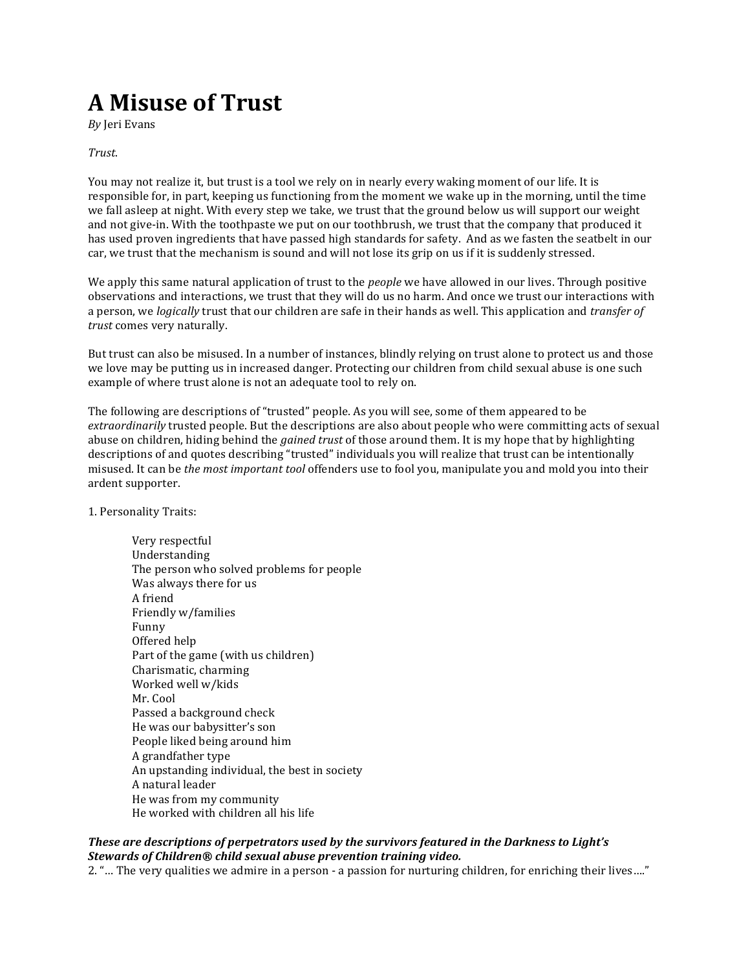# **A Misuse of Trust**

*By* Jeri Evans 

### *Trust*.

You may not realize it, but trust is a tool we rely on in nearly every waking moment of our life. It is responsible for, in part, keeping us functioning from the moment we wake up in the morning, until the time we fall asleep at night. With every step we take, we trust that the ground below us will support our weight and not give-in. With the toothpaste we put on our toothbrush, we trust that the company that produced it has used proven ingredients that have passed high standards for safety. And as we fasten the seatbelt in our car, we trust that the mechanism is sound and will not lose its grip on us if it is suddenly stressed.

We apply this same natural application of trust to the *people* we have allowed in our lives. Through positive observations and interactions, we trust that they will do us no harm. And once we trust our interactions with a person, we *logically* trust that our children are safe in their hands as well. This application and *transfer of* trust comes very naturally.

But trust can also be misused. In a number of instances, blindly relying on trust alone to protect us and those we love may be putting us in increased danger. Protecting our children from child sexual abuse is one such example of where trust alone is not an adequate tool to rely on.

The following are descriptions of "trusted" people. As you will see, some of them appeared to be *extraordinarily* trusted people. But the descriptions are also about people who were committing acts of sexual abuse on children, hiding behind the *gained trust* of those around them. It is my hope that by highlighting descriptions of and quotes describing "trusted" individuals you will realize that trust can be intentionally misused. It can be *the most important tool* offenders use to fool you, manipulate you and mold you into their ardent supporter.

1. Personality Traits:

Very respectful Understanding The person who solved problems for people Was always there for us A friend Friendly w/families Funny Offered help Part of the game (with us children) Charismatic, charming Worked well w/kids Mr. Cool Passed a background check He was our babysitter's son People liked being around him A grandfather type An upstanding individual, the best in society A natural leader He was from my community He worked with children all his life

# These are descriptions of perpetrators used by the survivors featured in the Darkness to Light's **Stewards of Children® child sexual abuse prevention training video.**

2. "... The very qualities we admire in a person - a passion for nurturing children, for enriching their lives...."